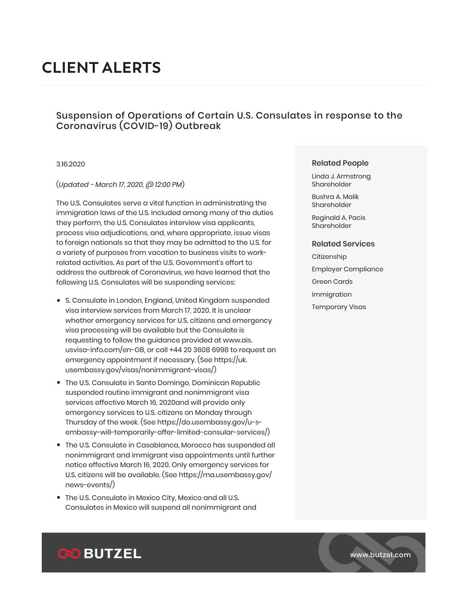# **CLIENT ALERTS**

## Suspension of Operations of Certain U.S. Consulates in response to the Coronavirus (COVID-19) Outbreak

## 3.16.2020

## (*Updated - March 17, 2020, @ 12:00 PM*)

The U.S. Consulates serve a vital function in administrating the immigration laws of the U.S. Included among many of the duties they perform, the U.S. Consulates interview visa applicants, process visa adjudications, and, where appropriate, issue visas to foreign nationals so that they may be admitted to the U.S. for a variety of purposes from vacation to business visits to workrelated activities. As part of the U.S. Government's effort to address the outbreak of Coronavirus, we have learned that the following U.S. Consulates will be suspending services:

- S. Consulate in London, England, United Kingdom suspended visa interview services from March 17, 2020. It is unclear whether emergency services for U.S. citizens and emergency visa processing will be available but the Consulate is requesting to follow the guidance provided at www.ais. usvisa-info.com/en-GB, or call +44 20 3608 6998 to request an emergency appointment if necessary. (See https://uk. usembassy.gov/visas/nonimmigrant-visas/)
- The U.S. Consulate in Santo Domingo, Dominican Republic suspended routine immigrant and nonimmigrant visa services effective March 16, 2020and will provide only emergency services to U.S. citizens on Monday through Thursday of the week. (See https://do.usembassy.gov/u-sembassy-will-temporarily-offer-limited-consular-services/)
- The U.S. Consulate in Casablanca, Morocco has suspended all nonimmigrant and immigrant visa appointments until further notice effective March 16, 2020. Only emergency services for U.S. citizens will be available. (See https://ma.usembassy.gov/ news-events/)
- The U.S. Consulate in Mexico City, Mexico and all U.S. Consulates in Mexico will suspend all nonimmigrant and

#### Related People

Linda J. Armstrong Shareholder

Bushra A. Malik Shareholder

Reginald A. Pacis **Shareholder** 

#### Related Services

- **Citizenship**
- Employer Compliance
- Green Cards
- Immigration
- Temporary Visas

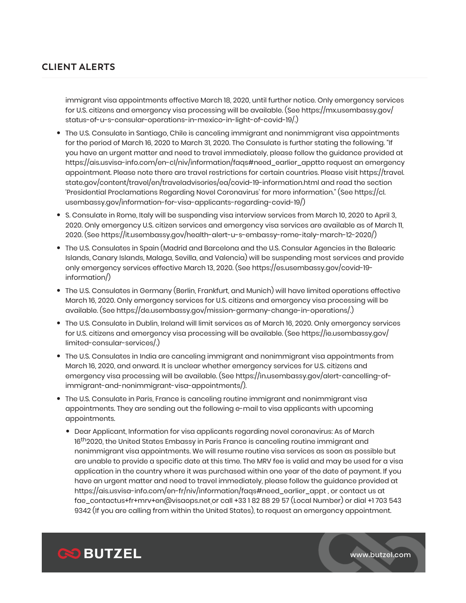# **CLIENT ALERTS**

immigrant visa appointments effective March 18, 2020, until further notice. Only emergency services for U.S. citizens and emergency visa processing will be available. (See https://mx.usembassy.gov/ status-of-u-s-consular-operations-in-mexico-in-light-of-covid-19/.)

- The U.S. Consulate in Santiago, Chile is canceling immigrant and nonimmigrant visa appointments for the period of March 16, 2020 to March 31, 2020. The Consulate is further stating the following. "If you have an urgent matter and need to travel immediately, please follow the guidance provided at https://ais.usvisa-info.com/en-cl/niv/information/faqs#need\_earlier\_apptto request an emergency appointment. Please note there are travel restrictions for certain countries. Please visit https://travel. state.gov/content/travel/en/traveladvisories/ea/covid-19-information.html and read the section 'Presidential Proclamations Regarding Novel Coronavirus' for more information." (See https://cl. usembassy.gov/information-for-visa-applicants-regarding-covid-19/)
- S. Consulate in Rome, Italy will be suspending visa interview services from March 10, 2020 to April 3, 2020. Only emergency U.S. citizen services and emergency visa services are available as of March 11, 2020. (See https://it.usembassy.gov/health-alert-u-s-embassy-rome-italy-march-12-2020/)
- The U.S. Consulates in Spain (Madrid and Barcelona and the U.S. Consular Agencies in the Balearic Islands, Canary Islands, Malaga, Sevilla, and Valencia) will be suspending most services and provide only emergency services effective March 13, 2020. (See https://es.usembassy.gov/covid-19 information/)
- The U.S. Consulates in Germany (Berlin, Frankfurt, and Munich) will have limited operations effective March 16, 2020. Only emergency services for U.S. citizens and emergency visa processing will be available. (See https://de.usembassy.gov/mission-germany-change-in-operations/.)
- The U.S. Consulate in Dublin, Ireland will limit services as of March 16, 2020. Only emergency services for U.S. citizens and emergency visa processing will be available. (See https://ie.usembassy.gov/ limited-consular-services/.)
- The U.S. Consulates in India are canceling immigrant and nonimmigrant visa appointments from March 16, 2020, and onward. It is unclear whether emergency services for U.S. citizens and emergency visa processing will be available. (See https://in.usembassy.gov/alert-cancelling-ofimmigrant-and-nonimmigrant-visa-appointments/).
- The U.S. Consulate in Paris, France is canceling routine immigrant and nonimmigrant visa appointments. They are sending out the following e-mail to visa applicants with upcoming appointments.
	- Dear Applicant, Information for visa applicants regarding novel coronavirus: As of March 16<sup>th</sup>2020, the United States Embassy in Paris France is canceling routine immigrant and nonimmigrant visa appointments. We will resume routine visa services as soon as possible but are unable to provide a specific date at this time. The MRV fee is valid and may be used for a visa application in the country where it was purchased within one year of the date of payment. If you have an urgent matter and need to travel immediately, please follow the guidance provided at https://ais.usvisa-info.com/en-fr/niv/information/faqs#need\_earlier\_appt , or contact us at fae\_contactus+fr+mrv+en@visaops.net or call +33 1 82 88 29 57 (Local Number) or dial +1 703 543 9342 (If you are calling from within the United States), to request an emergency appointment.